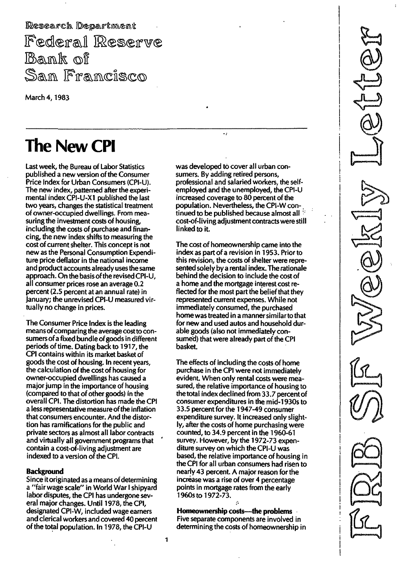Research Department Federal Reserve **Bank of** Sam Framcisco

March 4, 1983

# The New CPI

Last week, the Bureau of Labor Statistics published a new version of the Consumer Price Index for Urban Consumers (CPI-U). The new index, patterned after the experimental index CPI-U-X 1 published the last two years, changes the statistical treatment of owner-occupied dwellings. From measuring the investment costs of housing, including the costs of purchase and financing, the new index shifts to measuring the cost of current shelter. This concept is not new as the Personal Consumption Expenditure price deflator in the national income and product accounts already uses the same approach. On the basis of the revised CPI-U, all consumer prices rose an average 0.2 percent (2.5 percent at an annual rate) in January; the unrevised CPI-U measured virtually no change in prices.

The Consumer Price Index is the leading meansof comparing the average cost to consumers of a fixed bundle of goods in different periods of time. Dating back to 1917, the CPI contains within its market basket of goods the cost of housing. In recent years, the calculation of the cost of housing for owner-occupied dwellings has caused a major jump in the importance of housing (compared to that of other goods) in the overall CPI. The distortion has made the CPI a less representative measure of the inflation that consumers encounter. And the distortion has ramifications for the public and private sectors as almost all labor contracts and virtually all government programs that contain a cost-of-living adjustment are indexed to a version of the CPI.

## **Background**

Since itoriginated as a means of determining a "fair wage scale" in World War I shipyard labor disputes, the CPI has undergone several major changes. Until 1 978, the CPI, designated CPI-W, included wage earners and clerical workers and covered 40 percent of the total population. In 1978, the CPI-U

was developed to cover all urban consumers. By adding retired persons, professional and salaried workers, the selfemployed and the unemployed, the CPI-U increased coverage to 80 percent of the population. Nevertheless, the CPI-W continued to be published because almost all cost-of-Iiving adjustment contracts were still linked to it.

The cost of homeownership came into the index as part of a revision in 1953. Prior to this revision, the costs of shelter were represented solely by a rental index. The rationale behind the decision to include the cost of a home and the mortgage interest cost reflected for the most part the belief that they represented current expenses.While not immediately consumed, the purchased home was treated in a mannersimilarto that for new and used autos and household durable goods (also not immediately consumed) that were already part of the CPI basket.

The effects of including the costs of home purchase in the CPI were not immediately evident. When only rental costs were measured, the relative importance of housing to the total index declined from 33.7 percentof consumer expenditures in the mid-1 930s to 33.5 percent forthe 1 947-49 consumer expenditure survey. It increased only slightly, after the costs of home purchasing were counted, to 34.9 percent in the 1 960-61 survey. However, by the 1 972-73 expenditure survey on which the CPI-U was based, the relative importance of housing in the CPI for all urban consumers had risen to nearly 43 percent. A major reason for the increase was a rise of over 4 percentage points in mortgage rates from the early 1 960s to 1 972-73.

Homeownership costs--- the problems Five separate components are involved in determining the costs of homeownership in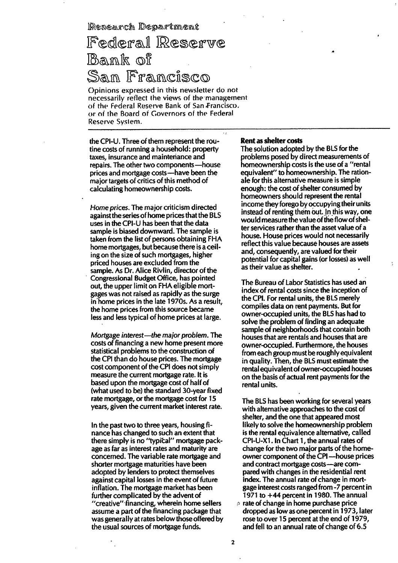Research Department

# Federal Reserve Bank of San Francisco

()pinions expressed in this newsletter do not necessarily reflect the views of thernanagement of the Federal Reserve Bank of San Francisco. or of the Board of Governors of the Federal Reserve System.

the CPI-U. Three of them represent the routine costs of running a household: property taxes, insurance and maintenance and repairs. The other two components -- house prices and mortgage costs-have been the major targets of critics of this method of calculating homeownership costs.

Home prices. The major criticism directed against the series of home prices that the BLS uses in the CPI-U has been that the data sample is biased downward. The sample is taken from the list of persons obtaining FHA home mortgages, but because there is a ceiling on the size of such mortgages, higher priced houses are excluded from the sample. As Dr. Alice Rivlin, director of the Congressional Budget Office, has pointed out, the upper limit on FHA eligible mortgages was not raised as rapidly as the surge in home prices in the late 1 970s. As a result, the home prices from this source became less and less typical of home prices at large.

Mortgage interest—the major problem. The costs of financing a new home present more statistical problems to the construction of the CPI than do house prices. The mortgage cost component of the CPI does not simply measure the current mortgage rate. It is based upon the mortgage cost of half of (what used to be) the standard 30-year fixed rate mortgage, or the mortgage cost for 15 years, given the current market interest rate.

In the past two to three years, housing finance has changed to such an extent that there simply is no "typical" mortgage package as far as interest rates and maturity are concerned. The variable rate mortgage and shorter mortgage maturities have been adopted by lenders to protect themselves against capital losses in the event of future inflation. The mortgage market has been further complicated by the advent of "creative"financing, wherein home sellers assume a part of the financing package that was generally at rates below those offered by the usual sources of mortgage funds.

#### Rent as shelter costs

 $\sim$   $\epsilon$ 

The solution adopted by the BLS for the problems posed by direct measurements of homeownership costs is the use of a "rental equivalent" to homeownership. The rationale for this alternative measure is simple enough: the cost of shelter consumed by homeowners should represent the rental income they forego by occupying their units instead of renting them out. In this way, one would measure the value of the flow of shelter services rather than the asset value of a house. House prices would not necessarily reflect this value because houses are assets and, consequently, are valued for their potential for capital gains (or losses) as well as their value as shelter.

The Bureau of Labor Statistics has used an index of rental costs since the inception of the CPI. For rental units, the BL5 merely compiles data on rent payments. But for owner-occupied units, the BLS has had to solve the problem of finding an adequate sample of neighborhoods that contain both houses that are rentals and houses that are owner-occupied. Furthermore, the houses from each group must be roughly equivalent in quality. Then, the BLS must estimate the rental equivalent of owner-occupied houses on the basis of actual rent payments for the rental units.

The BLS has been working for several years with alternative approaches to the cost of shelter, and the one that appeared most likely to solve the homeownership problem is the rental equivalence alternative, called CPI-U-X1. In Chart 1, the annual rates of change for the two major parts of the homeowner component of the CPI-house prices and contract mortgage costs -are compared with changes in the residential rent index. The annual rate of change in mortgage interest costs ranged from -7 percent in 1971 to  $+44$  percent in 1980. The annual  $\alpha$  rate of change in home purchase price dropped as low as one percent in 1 973, later rose to over 15 percent at the end of 1979,

and fell to an annual rate of change of 6.5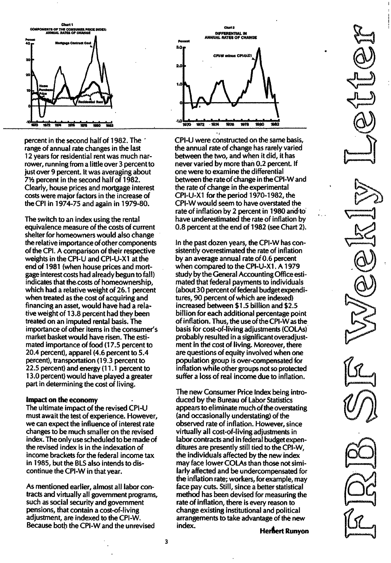

percent in the second half of 1982. The range of annual rate changes in the last 12 years for residential rent was much narrower, running from a little over 3 percent to just over 9 percent. It was averaging about 7V, percent in the second half of 1 982. Clearly, house prices and mortgage interest costs were major factors in the increase of the CPI in 1974-75 and again in 1979-80.

The switch to an index using the rental equivalence measure of the costs of current shelter for homeowners would also change the relative importance of other components of the CPt. A comparison of their respective weights in the CPI-U and CPI-U-X1 at the end of 1981 (when house prices and mortgage interest costs had already begun to fall) indicates that the costs of homeownership, which had a relative weight of 26.1 percent when treated as the cost of acquiring and financing an asset, would have had a relative weight of 13.8 percent had they been treated on an imputed rental basis. The importance of other items in the consumer's market basket would have risen. The estimated importance of food (17.5 percent to 20.4 percent), apparel  $(4.6$  percent to  $5.4$ percent), transportation (19.3 percent to 22.5 percent) and energy (1 1 .1 percent to 1 3.0 percent) would have played a greater part in determining the cost of living.

#### Impact on the economy

The ultimate impact of the revised CPI-U must await the test of experience. However, we can expect the influence of interest rate changes to be much smaller on the revised index. The only use scheduled to be made of the revised index is in the indexation of income brackets for the federal income tax in 1 985, but the BLS also intends to discontinue the CPI-W in that year.

As mentioned earlier, almost all labor contracts and virtually all government programs, such as social security and government pensions, that contain a cost-of-living adjustment, are indexed to the CPI-W. Because both the CPI-W and the unrevised



CPI-U were constructed on the same basis, the annual rate of change has rarely varied between the two, and when it did, it has never varied by more than 0.2 percent. If one were to examine the differential between the rate of change in the CPI-W and the rate of change in the experimental CPI-U-X1 for the period 1970-1982, the CPI-W would seem to have overstated the rate of inflation by 2 percent in 1980 and to have underestimated the rate of inflation by 0. 8 percent at the end of 1 982 (see Chart 2).

In the past dozen years, the CPI-W has consistently overestimated the rate of inflation by an average annual rate of 0.6 percent when compared to the CPI-U-X1. A 1979 study by the General Accounting Office estimated that federal payments to individuals (about 30 percent of federal budget expenditures, 90 percent of which are indexed) increased between \$1 .5 billion and \$2.5 billion for each additional percentage point of inflation. Thus, the use of the CPI-W as the basis for cost-of-living adjustments (COLAs) probably resulted in a significant overadjustment in the cost of living. Moreover, there are questions of equity involved when one population group is over-compensated for inflation while other groups not so protected suffer a loss of real income due to inflation.

The new Consumer Price Index being introduced by the Bureau of Labor Statistics appears to eliminate much of the overstating (and occasionally understating) of the observed rate of inflation. However, since virtually all cost-of-living adjustments in labor contracts and in federal budgetexpenditures are presently still tied to the CPI-W, the individuals affected by the new index may face lower COLAs than those not similarly affected and be undercompensated for the inflation rate; workers, for example, may face pay cuts. Still, since a better statistical method has been devised for measuring the rate of inflation, there is every reason to change existing institutional and political arrangements to take advantage of the new index.<br>**• Herbert Runyon**